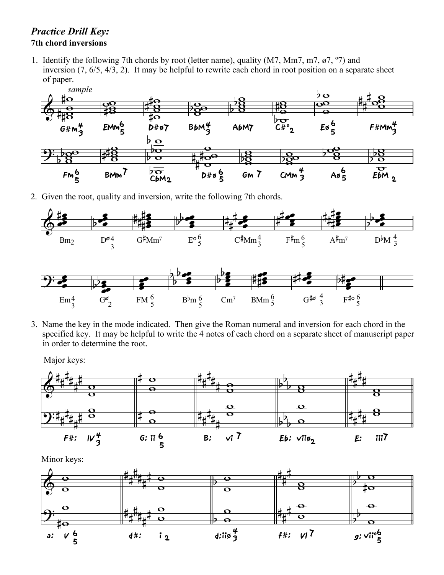## *Practice Drill Key:* **7th chord inversions**

1. Identify the following 7th chords by root (letter name), quality (M7, Mm7, m7,  $\varnothing$ 7, °7) and inversion (7, 6/5, 4/3, 2). It may be helpful to rewrite each chord in root position on a separate sheet of paper.



2. Given the root, quality and inversion, write the following 7th chords.



3. Name the key in the mode indicated. Then give the Roman numeral and inversion for each chord in the specified key. It may be helpful to write the 4 notes of each chord on a separate sheet of manuscript paper in order to determine the root.

Major keys: